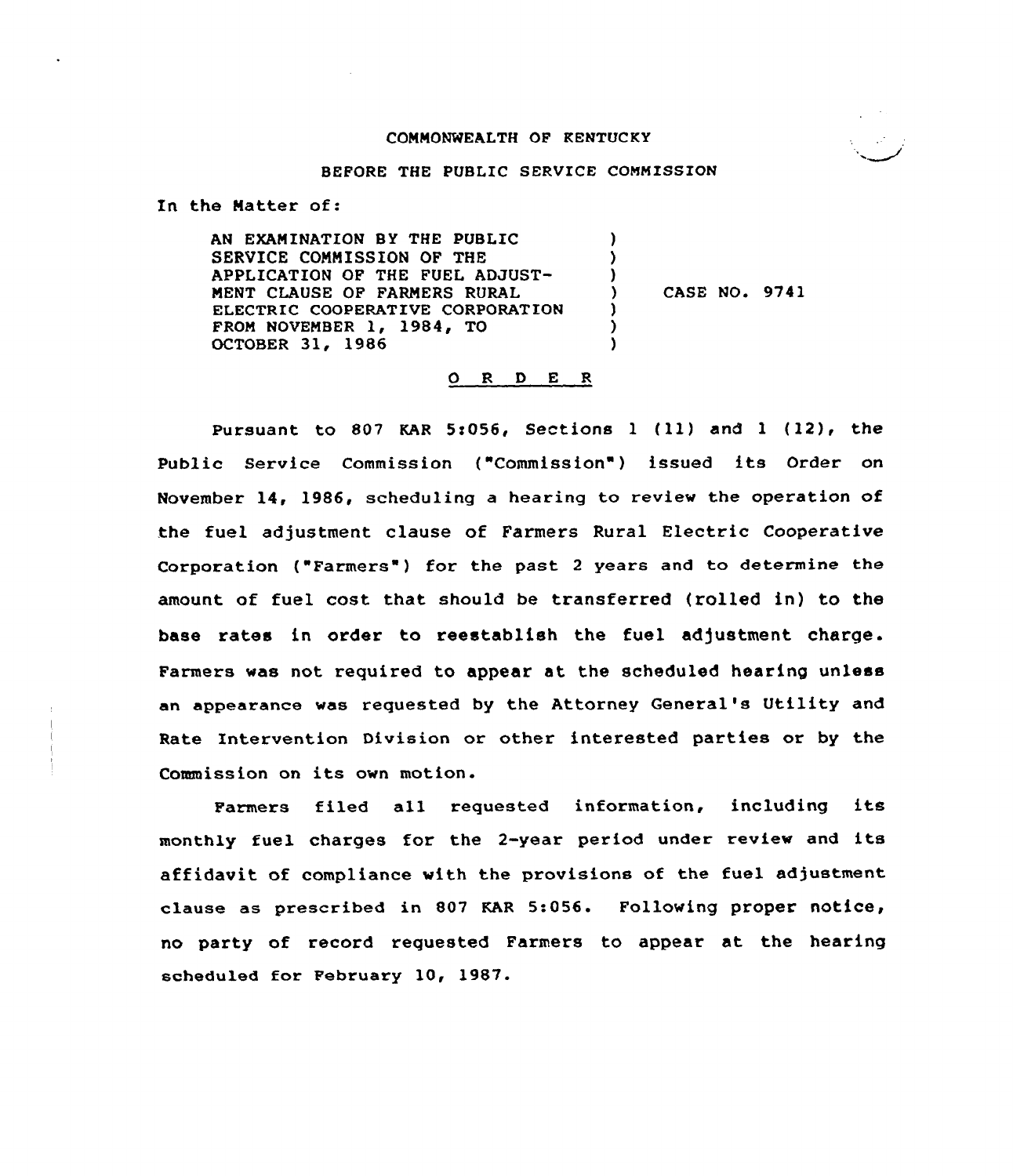### COMMONWEALTH OF KENTUCKY



## BEFORE THE PUBLIC SERVICE COMMISSION

) ) )

> ) ) )

In the Matter of:

AN EXAMINATION BY THE PUBLIC SERVICE COMMISSION OF THE APPLICATION OF THE FUEL ADJUST-MENT CLAUSE OF FARMERS RURAL ELECTRIC COOPERATIVE CORPORATION FROM NOVEMBER  $1, 1984, T0$ OCTOBER 31, 1986

) CASE NO. 9741

## O R D E R

Pursuant to 807 KAR 5:056, Sections 1 (11) and 1 (12), the Public Service Commission ("Commission") issued its Order on November 14, 1986, scheduling a hearing to review the operation of the fuel adjustment clause of Farmers Rural Electric Cooperative Corporation ("Farmers") for the past 2 years and to determine the amount of fuel cost that should be transferxed {rolled in) to the base rates in order to reestablish the fuel adjustment charge. Farmers was not required to appear at the scheduled hearing unless an appearance was requested by the Attorney General's Utility and Rate Intervention Division or other interested parties or by the Commission on its own motion.

Farmers filed all requested information, including its monthly fuel charges for the 2-year period under review and its affidavit of compliance with the provisions of the fuel adjustment clause as prescribed in 807 KAR 5:056. Following proper notice, no party of record requested Farmers to appear at the hearing scheduled for February 10, 1987.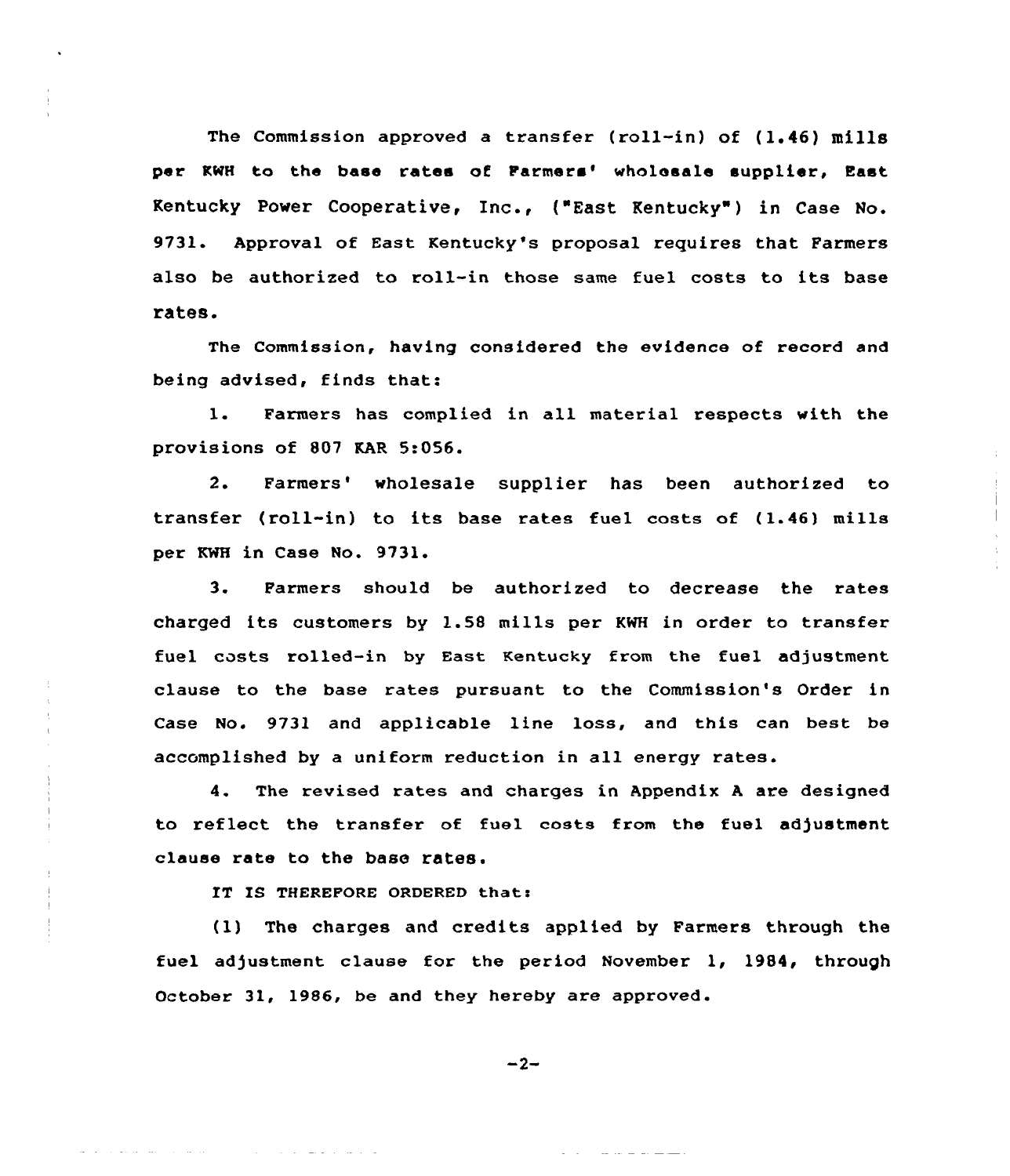The Commission approved a transfer (roll-in) of  $(1.46)$  mills per KWH to the base rates of Farmers' wholesale supplier, East Kentucky Power Cooperative, Inc., {"East Kentucky" ) in Case No. 9731. Approval of East Kentucky's proposal requires that Parmers also be authorized to roll-in those same fuel costs to its base rates.

The Commission, having considered the evidence of record and being advised, finds that:

l. Farmers has complied in all material respects with the provisions of 807 KAR 5:056.

2. Farmers' wholesale supplier has been authorized to transfer (roll-in) to its base rates fuel costs of (1.46) mills per KNH in Case No. 9731.

3. Parmers should be authorized to decrease the rates charged its customers by 1.58 mills per KWH in order to transfer fuel costs rolled-in by East Kentucky from the fuel adjustment clause to the base rates pursuant to the Commission's Order in Case No. 9731 and applicable line loss, and this can best be accomplished by a uniform reduction in all energy rates.

4. The revised rates and charges in Appendix <sup>A</sup> are designed to reflect the transfer of fuel costs from the fuel adjustment clause rate to the base rates.

IT IS THEREFORE ORDERED that:

الأرابيس والمستنقل والمراسي والمراسي والمراسين

(1) The charges and credits applied by Farmers through the fuel adjustment clause for the period November 1, 1984, through October 31, 1986, be and they hereby are approved.

$$
-2-
$$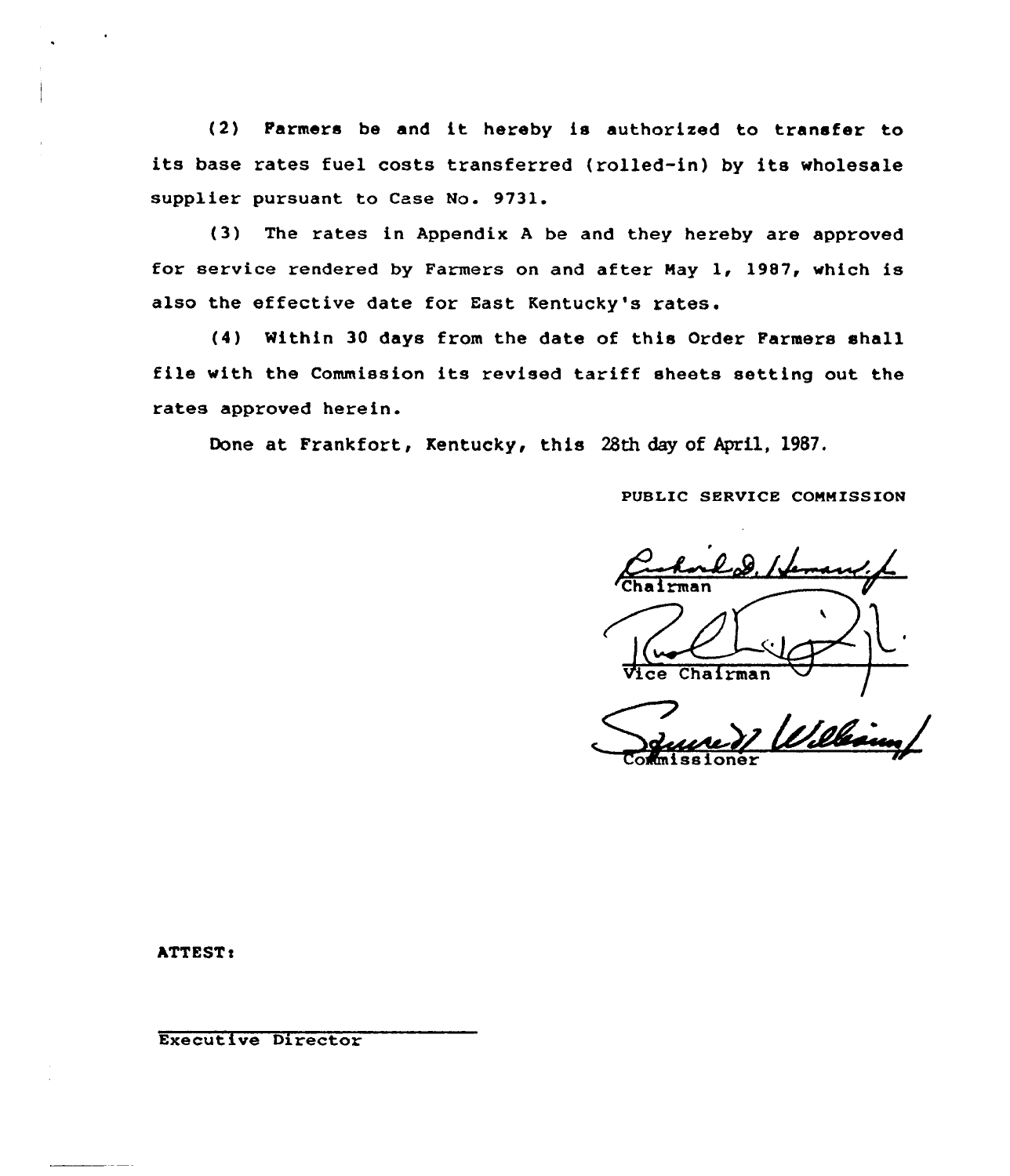(2) Farmers be and it hereby is authorized to transfer to its base rates fuel costs transferred (rolled-in) by its wholesale supplier pursuant to Case No. 9731.

(3) The rates in Appendix <sup>A</sup> be and they hereby are approved for service rendered by Farmers on and after Hay 1, 1987, which is also the effective date for East Kentucky's rates.

(4) Within 30 days from the date of this Order Farmers shall file with the Commission its revised tariff sheets setting out the rates approved herein.

Done at Frankfort, Kentucky, this 28th day of April, 1987.

PUBLIC SERVICE COMMISSION

Chairman

<u>Iele</u> Commissione

ATTEST:

Executive Director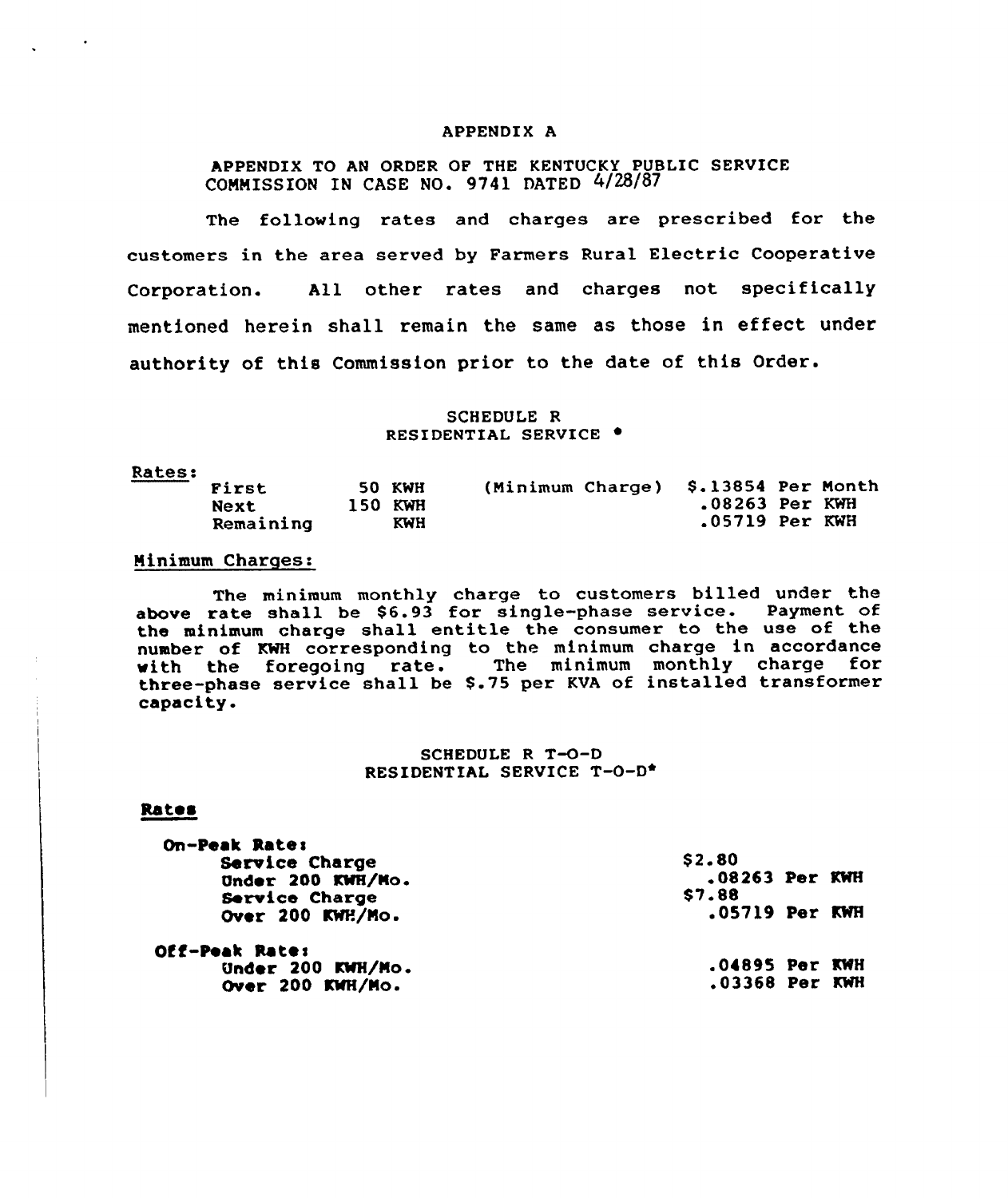#### APPENDIX A

APPENDIX TO AN ORDER OF THE KENTUCKY PUBLIC SERV1CE COMMISSION IN CASE NO. 9741 DATED  $4/28/87$ 

The following rates and charges are prescribed for the customers in the area served by Farmers Rural Electric Cooperative Corporation. All other rates and charges not specifically mentioned herein shall remain the same as those in effect under authority of this Commission prior to the date of this Order.

> SCHEDULE R RESIDENTIAL SERVICE .

Rates:

| First     | <b>50 KWH</b> | (Minimum Charge) | S.13854 Per Month |  |
|-----------|---------------|------------------|-------------------|--|
| Next      | 150 KWH       |                  | $.08263$ Per KWH  |  |
| Remaining | KWH           |                  | .05719 Per KWH    |  |

Minimum Charges:

The minimum monthly charge to customers billed under the above rate shall be \$6.93 for single-phase service. Payment of the minimum charge shall entitle the consumer to the use of the number of KWH corresponding to the minimum charge in accordance<br>with the foregoing rate. The minimum monthly charge for The minimum monthly charge for three-phase service shall be \$.75 per KVA of installed transformer capacity.

> SCHEDULE R T-O-D RESIDENTIAL SERVICE T-O-D\*

#### Rates

| On-Peak Rate:     |                  |  |  |  |
|-------------------|------------------|--|--|--|
| Service Charge    | \$2.80           |  |  |  |
| Under 200 KWH/Mo. | .08263 Per KWH   |  |  |  |
| Service Charge    | <b>S7.88</b>     |  |  |  |
| Over 200 KWH/Mo.  | .05719 Per KWH   |  |  |  |
| Off-Peak Rate:    |                  |  |  |  |
| Under 200 KWH/Mo. | $.04895$ Per KWH |  |  |  |
| Over 200 KWH/Mo.  | .03368 Per KWH   |  |  |  |
|                   |                  |  |  |  |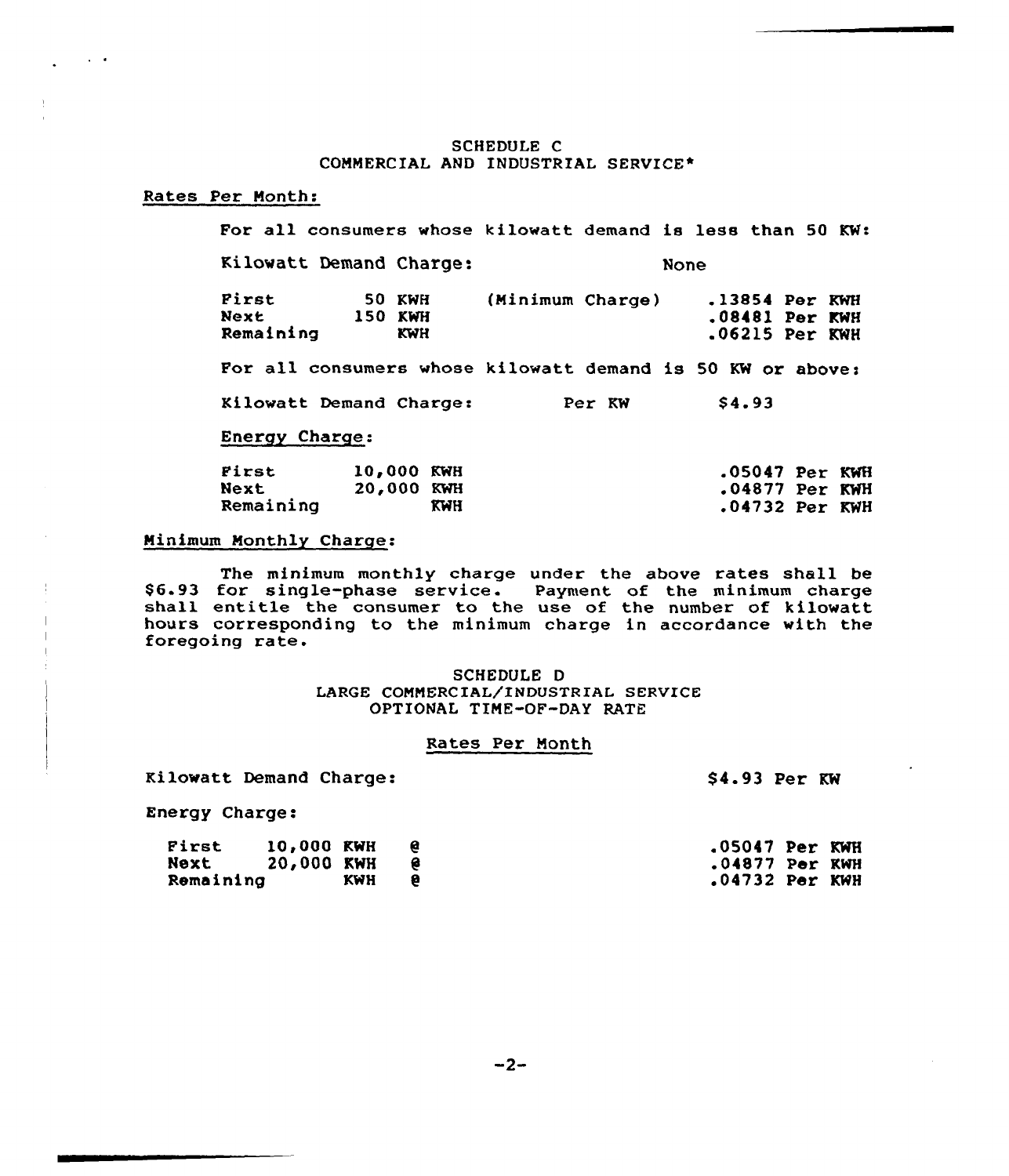## SCHEDULE C CONNERCIAL AND INDUSTRIAL SERVICE\*

### Rates Per Month:

 $\Delta \sim 100$ 

For all consumers whose kilowatt demand is less than 50 KW: Kilowatt Demand Charge: None First 50 KWH (Minimum Charge) .13854 Per KWH<br>Next 150 KWH (Minimum Charge) .08481 Per KWH Next 150 KWH .08481 Per KWH .08481 Per KWH Remaining KWH .06215 Per KWH For all consumers whose kilowatt demand is 50 KW or above: Kilowatt Demand Charge: Energy Charge: **First.** 10,000 KWH<br>Next. 20.000 KWH 20,000 KWH Remaining Per KW \$4.93 .05047 Per KWH .04877 Per KWH .04732 Per KWH

### Minimum Monthly Charge:

The minimum monthly charge under the above rates shall be \$6.93 for single-phase service. Payment of the minimum charge shall entitle the consumer to the use of the number of kilowatt hours corresponding to the minimum charge in accordance with the foregoing rate.

> SCHEDULE D LARGE COMMERCIAL/INDUSTRIAL SERVICE OPTIONAL TINE-OF-DAY RATE

### Rates Per Month

Kilowatt Demand Charge:

84.93 Per KW

Energy Charge:

| First     | 10,000 KWH |     | $.05047$ Per KWH |  |
|-----------|------------|-----|------------------|--|
| Next      | 20,000 KWH |     | .04877 Per KWH   |  |
| Remaining |            | KWH | $.04732$ Per KWH |  |